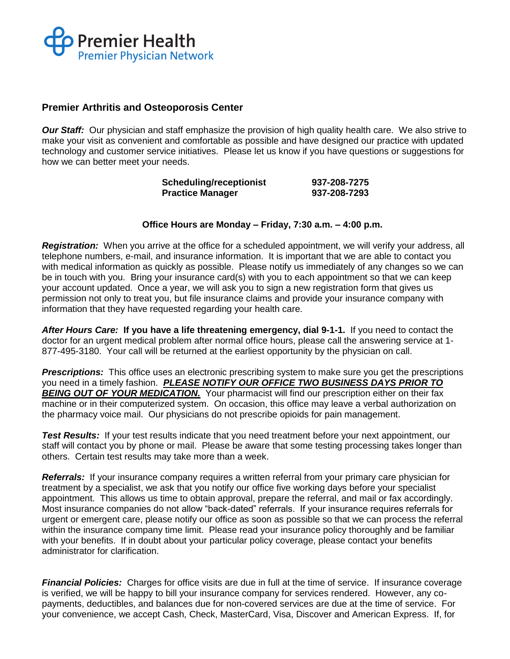

## **Premier Arthritis and Osteoporosis Center**

**Our Staff:** Our physician and staff emphasize the provision of high quality health care. We also strive to make your visit as convenient and comfortable as possible and have designed our practice with updated technology and customer service initiatives. Please let us know if you have questions or suggestions for how we can better meet your needs.

| <b>Scheduling/receptionist</b> | 937-208-7275 |
|--------------------------------|--------------|
| <b>Practice Manager</b>        | 937-208-7293 |

## **Office Hours are Monday – Friday, 7:30 a.m. – 4:00 p.m.**

*Registration:* When you arrive at the office for a scheduled appointment, we will verify your address, all telephone numbers, e-mail, and insurance information. It is important that we are able to contact you with medical information as quickly as possible. Please notify us immediately of any changes so we can be in touch with you. Bring your insurance card(s) with you to each appointment so that we can keep your account updated. Once a year, we will ask you to sign a new registration form that gives us permission not only to treat you, but file insurance claims and provide your insurance company with information that they have requested regarding your health care.

*After Hours Care:* **If you have a life threatening emergency, dial 9-1-1.** If you need to contact the doctor for an urgent medical problem after normal office hours, please call the answering service at 1- 877-495-3180. Your call will be returned at the earliest opportunity by the physician on call.

*Prescriptions:* This office uses an electronic prescribing system to make sure you get the prescriptions you need in a timely fashion. *PLEASE NOTIFY OUR OFFICE TWO BUSINESS DAYS PRIOR TO*  **BEING OUT OF YOUR MEDICATION.** Your pharmacist will find our prescription either on their fax machine or in their computerized system. On occasion, this office may leave a verbal authorization on the pharmacy voice mail. Our physicians do not prescribe opioids for pain management.

**Test Results:** If your test results indicate that you need treatment before your next appointment, our staff will contact you by phone or mail. Please be aware that some testing processing takes longer than others. Certain test results may take more than a week.

*Referrals:* If your insurance company requires a written referral from your primary care physician for treatment by a specialist, we ask that you notify our office five working days before your specialist appointment. This allows us time to obtain approval, prepare the referral, and mail or fax accordingly. Most insurance companies do not allow "back-dated" referrals. If your insurance requires referrals for urgent or emergent care, please notify our office as soon as possible so that we can process the referral within the insurance company time limit. Please read your insurance policy thoroughly and be familiar with your benefits. If in doubt about your particular policy coverage, please contact your benefits administrator for clarification.

*Financial Policies:* Charges for office visits are due in full at the time of service. If insurance coverage is verified, we will be happy to bill your insurance company for services rendered. However, any copayments, deductibles, and balances due for non-covered services are due at the time of service. For your convenience, we accept Cash, Check, MasterCard, Visa, Discover and American Express. If, for